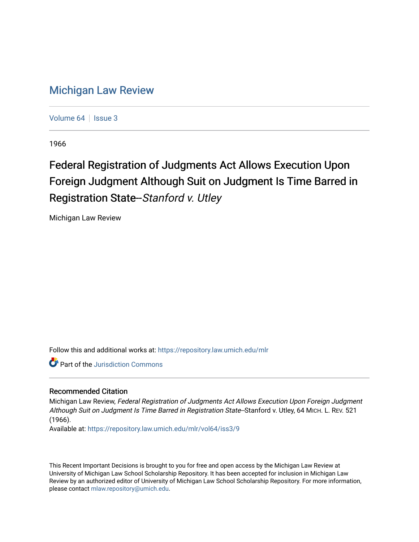## [Michigan Law Review](https://repository.law.umich.edu/mlr)

[Volume 64](https://repository.law.umich.edu/mlr/vol64) | [Issue 3](https://repository.law.umich.edu/mlr/vol64/iss3)

1966

# Federal Registration of Judgments Act Allows Execution Upon Foreign Judgment Although Suit on Judgment Is Time Barred in Registration State--Stanford v. Utley

Michigan Law Review

Follow this and additional works at: [https://repository.law.umich.edu/mlr](https://repository.law.umich.edu/mlr?utm_source=repository.law.umich.edu%2Fmlr%2Fvol64%2Fiss3%2F9&utm_medium=PDF&utm_campaign=PDFCoverPages) 

Part of the [Jurisdiction Commons](http://network.bepress.com/hgg/discipline/850?utm_source=repository.law.umich.edu%2Fmlr%2Fvol64%2Fiss3%2F9&utm_medium=PDF&utm_campaign=PDFCoverPages) 

#### Recommended Citation

Michigan Law Review, Federal Registration of Judgments Act Allows Execution Upon Foreign Judgment Although Suit on Judgment Is Time Barred in Registration State--Stanford v. Utley, 64 MICH. L. REV. 521 (1966).

Available at: [https://repository.law.umich.edu/mlr/vol64/iss3/9](https://repository.law.umich.edu/mlr/vol64/iss3/9?utm_source=repository.law.umich.edu%2Fmlr%2Fvol64%2Fiss3%2F9&utm_medium=PDF&utm_campaign=PDFCoverPages)

This Recent Important Decisions is brought to you for free and open access by the Michigan Law Review at University of Michigan Law School Scholarship Repository. It has been accepted for inclusion in Michigan Law Review by an authorized editor of University of Michigan Law School Scholarship Repository. For more information, please contact [mlaw.repository@umich.edu.](mailto:mlaw.repository@umich.edu)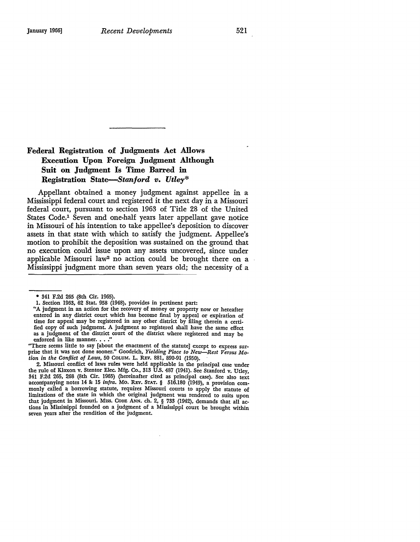### **Federal Registration of Judgments Act Allows Execution Upon Foreign Judgment Although Suii on Judgment Is Time Barred in Registration** *State-Stanford v. Utley\**

Appellant obtained a money judgment against appellee in a Mississippi federal court and registered it the next day in a Missouri federal court, pursuant to section 1963 of Title 28 of the United States Code.<sup>1</sup> Seven and one-half years later appellant gave notice in Missouri of his intention to take appellee's deposition to discover assets in that state with which to satisfy the judgment. Appellee's motion to prohibit the deposition was sustained on the ground that no execution could issue upon any assets uncovered, since under applicable Missouri law2 no action could be brought there on a Mississippi judgment more than seven years old; the necessity of a

"There seems little to say [about the enactment of the statute] except to express sur-prise that it was not done sooner." Goodrich, *Yielding Place to New-Rest Versus Motion in the Conflict of Laws,* 50 COLUM. L. REV. 881, 890-91 (1950).

2. Missouri conflict of laws rules were held applicable in the principal case under the rule of Klaxon v. Stentor Elec. Mfg. Co., 313 U.S. 487 (1941). See Stanford v. Utley, 341 F.2d 265, 268 (8th Cir. 1965) (hereinafter cited as principal case). See also text accompanying notes 14 8: 15 *infra.* Mo. REv. STAT. § 516.180 (1949), a provision commonly called a borrowing statute, requires Missouri courts to apply the statute of limitations of the state in which the original judgment was rendered to suits upon that judgment in Missouri. MISS. CODE ANN. ch. 2, § 733 (1942), demands that all actions in Mississippi founded on a judgment of a Mississippi court be brought within seven years after the rendition of the judgment.

<sup>• 341</sup> F.2d 265 (8th Cir. 1965).

<sup>1.</sup> Section 1963, 62 Stat. 958 (1948), provides in pertinent part:

<sup>&</sup>quot;A judgment in an action for the recovery of money or property now or hereafter entered in any district court which has become final by appeal or expiration of time for appeal may be registered in any other district by filing therein a certified copy of such judgment. A judgment so registered shall have the same effect as a judgment of the district court of the district where registered and may be enforced in like manner. . . .'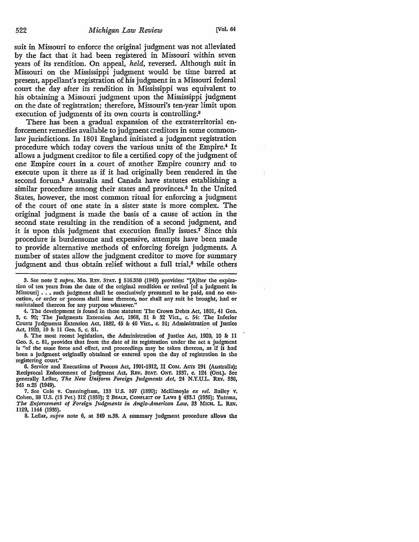suit in Missouri to enforce the original judgment was not alleviated by the fact that it had been registered in Missouri within seven years of its rendition. On appeal, *held,* reversed. Although suit in Missouri on the Mississippi judgment would be time barred at present, appellant's registration of his judgment in a Missouri federal court the day after its rendition in Mississippi was equivalent to his obtaining a Missouri judgment upon the Mississippi judgment on the date of registration; therefore, Missouri's ten-year limit upon execution of judgments of its own courts is controlling.<sup>3</sup>

There has been a gradual expansion of the extraterritorial enforcement remedies available to judgment creditors in some commonlaw jurisdictions. In 1801 England initiated a judgment registration procedure which today covers the various units of the Empire.4 It allows a judgment creditor to file a certified copy of the judgment of one Empire court in a court of another Empire country and to execute upon it there as if it had originally been rendered in the second forum.5 Australia and Canada have statutes establishing a similar procedure among their states and provinces.<sup>6</sup> In the United States, however, the most common ritual for enforcing a judgment of the court of one state in a sister state is more complex. The original judgment is made the basis of a cause of action in the second state resulting in the rendition of a second judgment, and it is upon this judgment that execution finally issues.7 Since this procedure is burdensome and expensive, attempts have been made to provide alternative methods of enforcing foreign judgments. A number of states allow the judgment creditor to move for summary judgment and thus obtain relief without a full trial,<sup>8</sup> while others

4. The development is found in these statutes: The Crown Debts Act, 1801, 41 Geo. 3, c. 90; The Judgments Extension Act, 1868, 31 &: 32 Viet., c. 54: The Inferior Courts Judgments Extension Act, 1882, 45 &: 46 Viet., c. 31; Administration of Justice Act, 1920, 10 & 11 Geo. 5, c. 81.

5. The most recent legislation, the Administration of Justice Act, 1920, 10 &: 11 Geo. 5, c. 81, provides that from the date of its registration under the act a judgment is "of the same force and effect, and proceedings may be taken thereon, as if it had been a judgment originally obtained or entered upon the day of registration in the registering court."

6. Service and Executions of Process Act, 1901-1912, II Com. Acrs 291 (Australia); Reciprocal Enforcement of Judgment Act, REv. STAT. ONT, 1937, c. 124 (Ont,), See generally Leflar, *The New Uniform Foreign Judgments Act,* 24 N.Y.U.L. REV, 336, 345 n.25 (1949).

8. Leflar, *supra* note 6, at 349 n.38. *A* summary judgment procedure allows the

<sup>3.</sup> See note 2 *supra.* Mo. REv. STAT. § 516.350 (1949) provides: "[A]fter the expira• tion of ten years from the date of the original rendition or revival [of a judgment in Missouri]  $\ldots$  such judgment shall be conclusively presumed to be paid, and no execution, or order or process shall issue thereon, nor shall any suit be brought, had or maintained thereon for any purpose whatever."

<sup>7.</sup> See Cole v. Cunningham, 133 U.S. 107 (1890); McElmoyle *ex rel.* Bailey v. Cohen, 38 U.S. (13 Pet.) 312 (1839); 2 BEALE, CONFLICT OF LAws § 433.1 (1935); Yntema, *The Enforcement of Foreign Judgments in Anglo-American Law,* 33 MICH, L. REv. 1129, 1144 (1935).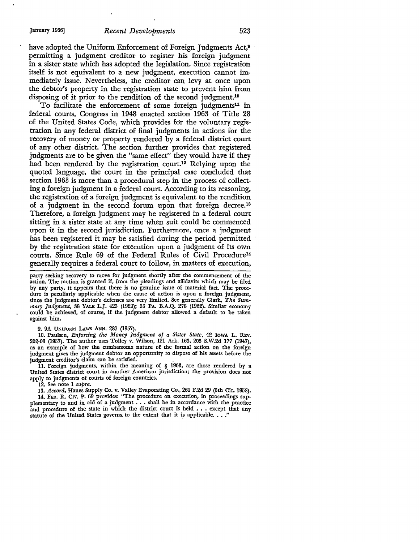have adopted the Uniform Enforcement of Foreign Judgments Act,<sup>9</sup> permitting a judgment creditor to register his foreign judgment **in** a sister state which has adopted the legislation. Since registration itself is not equivalent to a new judgment, execution cannot immediately issue. Nevertheless, the creditor can levy at once upon the debtor's property in the registration state to prevent him from disposing of it prior to the rendition of the second judgment.<sup>10</sup>

To facilitate the enforcement of some foreign judgments<sup>11</sup> in federal courts, Congress in 1948 enacted section 1963 of Title 28 of the United States Code, which provides for the voluntary registration in any federal district of final judgments in actions for the recovery of money or property rendered by a federal district court 0£ any other district. The section further provides that registered judgments are to be given the "same effect" they would have if they had been rendered by the registration court.<sup>12</sup> Relying upon the quoted language, the court in the principal case concluded that section 1963 is more than a procedural step in the process of collecting a foreign judgment in a federal court. According to its reasoning, the registration of a foreign judgment is equivalent to the rendition of a judgment in the second forum upon that foreign decree.18 Therefore, a foreign judgment may be registered in a federal court sitting in a sister state at any time when suit could be commenced upon it in the second jurisdiction. Furthermore, once a judgment has been registered it may be satisfied during the period permitted by the registration state for execution upon a judgment of its own courts. Since Rule 69 of the Federal Rules of Civil Procedure14 generally requires a federal court to follow, in matters of execution,

party seeking recovery to move for judgment shortly after the commencement of the action. The motion is granted if, from the pleadings and affidavits which may be filed by any party, it appears that there is no genuine issue of material fact. The procedure is peculiarly applicable when the cause of action is upon a foreign judgment, since the judgment debtor's defenses are very limited. See generally Clark, *The Summary Judgment,* 38 YALE L.J. 423 (1929); 33 PA. B.A.Q. 278 (1962). Similar economy could be achieved, of course, if the judgment debtor allowed a default to be taken against him.

#### 9. 9A UNIFORM LAws ANN. 287 (1957).

10. Paulsen, *Enforcing the Money Judgment of a Sister State,* 42 IowA L. REY. 202·03 (1957). The author uses Tolley v. Wilson, 121 Ark. 163, 205 S.W.2d 177 (1947), as an example of how the cumbersome nature of the formal action on the foreign judgment gives the judgment debtor an opportunity to dispose of his assets before the judgment creditor's claim can be satisfied.

11. Foreign judgments, within the meaning of § 1963, are those rendered by a United States district court in another American jurisdiction; the provision does not apply to judgments of courts of foreign countries.

12. See note 1 *supra.* 

13. *Accord,* Hanes Supply Co. v. Valley Evaporating Co., 261 F.2d 29 (5th Cir. 1958). 14. FED. R. CIV. P. 69 provides: "The procedure on execution, in proceedings supplementary to and in aid of a judgment . . . shall be in accordance with the practice

and procedure of the state in which the district court is held . . . except that any statute of the United States governs to the extent that it is applicable. . . .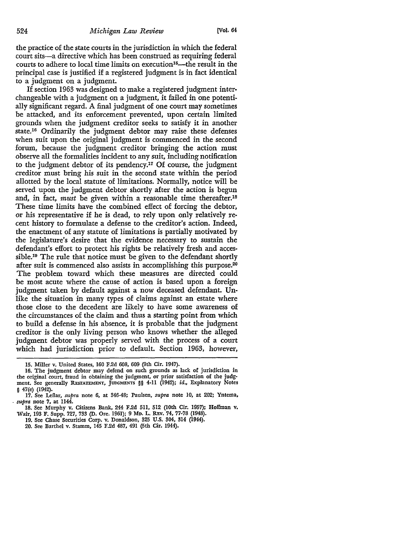the practice of the state courts in the jurisdiction in which the federal court sits-a directive which has been construed as requiring federal courts to adhere to local time limits on execution<sup>15</sup>—the result in the principal case is justified if a registered judgment is in fact identical to a judgment on a judgment.

If section 1963 was designed to make a registered judgment interchangeable with a judgment on a judgment, it failed in one potentially significant regard. A final judgment of one court may sometimes be attacked, and its enforcement prevented, upon certain limited grounds when the judgment creditor seeks to satisfy it in another state.16 Ordinarily the judgment debtor may raise these defenses when suit upon the original judgment is commenced in the second forum, because the judgment creditor bringing the action must observe all the formalities incident to any suit, including notification to the judgment debtor of its pendency.17 Of course, the judgment creditor must bring his suit in the second state within the period allotted by the local statute of limitations. Normally, notice will be served upon the judgment debtor shortly after the action is begun and, in fact, *must* be given within a reasonable time thereafter.18 These time limits have the combined effect of forcing the debtor, or his representative if he is dead, to rely upon only relatively recent history to formulate a defense to the creditor's action. Indeed, the enactment of any statute of limitations is partially motivated by the legislature's desire that the evidence necessary to sustain the defendant's effort to protect his rights be relatively fresh and accessible.19 The rule that notice must be given to the defendant shortly after suit is commenced also assists in accomplishing this purpose.20 The problem toward which these measures are directed could be most acute where the cause of action is based upon a foreign judgment taken by default against a now deceased defendant. Unlike the situation in many types of claims against an estate where those close to the decedent are likely to have some awareness of the circumstances of the claim and thus a starting point from which to build a defense in his absence, it is probable that the judgment creditor is the only living person who knows whether the alleged judgment debtor was properly served with the process of a court which had jurisdiction prior to default. Section 1963, however,

16. The judgment debtor may defend on such grounds as lack of jurisdiction in the original court, fraud in obtaining the judgment, or prior satisfaction of the judg• ment. See generally REsTATEMENT, JUDGMENTS §§ 4-11 (1942); id., Explanatory Notes § 47(e) (1942).

<sup>15.</sup> Miller v. United States, 160 F.2d 608, 609 (9th Cir. 1947).

<sup>17.</sup> See Leflar, *supra* note 6, at 346-48; Paulsen, *supra* note 10, at 202; Yntema, . *supra* note 7, at 1144.

<sup>18.</sup> See Murphy v. Citizens Bank, 244 F.2d 5ll, 512 (10th Cir. 1957): Hoffman v. Wair, 193 F. Supp. 727, 733 (D. Ore. 1961); 9 MD. L. REv, 74, 77-78 (1948).

<sup>19.</sup> See Chase Securities Corp. v. Donaldson, 325 U.S. 304, 814 (1944).

<sup>20.</sup> See Barthel v. Stamm, 145 F.2d 487, 491 (5th Cir. 1944).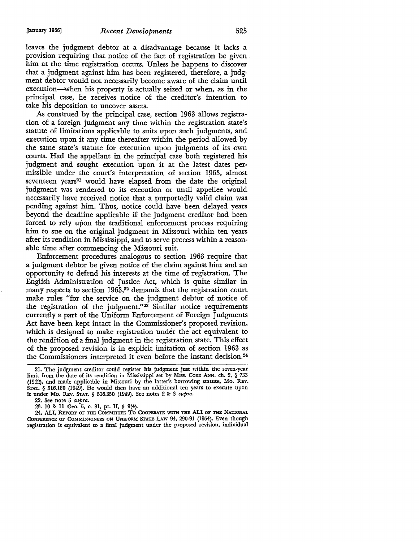leaves the judgment debtor at a disadvantage because it lacks a provision requiring that notice of the fact of registration be given . him at the time registration occurs. Unless he happens to discover that a judgment against him has been registered, therefore, a judgment debtor would not necessarily become aware of the claim until execution-when his property is actually seized or when, as in the principal case, he receives notice of the creditor's intention to take his deposition to uncover assets.

As construed by the principal *case,* section 1963 allows registration of a foreign judgment any time within the registration state's statute of limitations applicable to suits upon such judgments, and execution upon it any time thereafter within the period allowed- by the same state's statute for execution upon judgments of its own courts. Had the appellant in the principal case both registered his judgment and sought execution upon it at the latest dates permissible under the court's interpretation of section 1963, almost seventeen years<sup>21</sup> would have elapsed from the date the original judgment was rendered to its execution or until appellee would necessarily have received notice that a purportedly valid claim was pending against him. Thus, notice could have been delayed years beyond the deadline applicable if the judgment creditor had been forced to rely upon the traditional enforcement process requiring him to sue on the original judgment in Missouri within ten years after its rendition in Mississippi, and to serve process within a reasonable time after commencing the Missouri suit.

Enforcement procedures analogous to section 1963 require that a judgment debtor be given notice of the claim against him and an opportunity to defend his interests at the time of registration. The English Administration of Justice *Act,* which is quite similar in many respects to section 1963,<sup>22</sup> demands that the registration court make rules "for the service on the judgment debtor of notice of the registration of the judgment."23 Similar notice requirements currently a part of the Uniform Enforcement of Foreign Judgments Act have been kept intact in the Commissioner's proposed revision, which is designed to make registration under the act equivalent to the rendition of a final judgment in the registration state. This effect of the proposed revision is in explicit imitation of section 1963 as the Commissioners interpreted it even before the instant decision.24

24. ALI, REPORT OF THE COMMITTEE TO COOPERATE WITH THE ALI OF THE NATIONAL CONFERENCE OF COMMISSIONERS ON UNIFORM STATE LAW 94, 290-91 (1964). Even though registration is equivalent to a final judgment under the proposed revision, individual

<sup>21.</sup> The judgment creditor could register his judgment just within the seven-year limit from the date of its rendition in Mississippi set by MISS. ConE ANN. ch. 2, § 733 (1942), and made applicable in Missouri by the latter's borrowing statute, Mo. REv. STAT. § 516.180 (1949). He would then have an additional ten years to execute upon it under Mo. Rev. STAT. § 516.350 (1949). See notes 2 & 3 *supra*.

<sup>22.</sup> See note 5 *supra.* 

<sup>23. 10</sup> &: 11 Geo. 5, c. 81, pt. II, § 9(4).